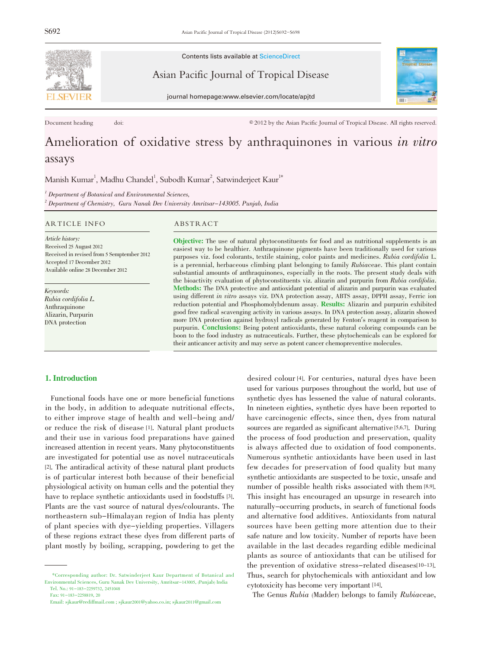

Contents lists available at ScienceDirect

Asian Pacific Journal of Tropical Disease





Document heading doi: doi:  $\textcircled{2012}$  by the Asian Pacific Journal of Tropical Disease. All rights reserved.

# Amelioration of oxidative stress by anthraquinones in various in vitro assays

Manish Kumar<sup>1</sup>, Madhu Chandel<sup>1</sup>, Subodh Kumar<sup>2</sup>, Satwinderjeet Kaur<sup>1\*</sup>

 ${}^{1}$  Department of Botanical and Environmental Sciences,  $^2$  Department of Chemistry, Guru Nanak Dev University Amritsar–143005. Punjab, India

#### ARTICLE INFO ABSTRACT

Article history: Received 25 August 2012 Received in revised from 5 Semptember 2012 Accepted 17 December 2012 Available online 28 December 2012

Keywords: Rubia cordifolia L. Anthraquinone Alizarin, Purpurin DNA protection

Objective: The use of natural phytoconstituents for food and as nutritional supplements is an easiest way to be healthier. Anthraquinone pigments have been traditionally used for various purposes viz. food colorants, textile staining, color paints and medicines. Rubia cordifolia L. is a perennial, herbaceous climbing plant belonging to family Rubiaceae. This plant contain substantial amounts of anthraquinones, especially in the roots. The present study deals with the bioactivity evaluation of phytoconstituents viz. alizarin and purpurin from Rubia cordifolia. Methods: The DNA protective and antioxidant potential of alizarin and purpurin was evaluated using different in vitro assays viz. DNA protection assay, ABTS assay, DPPH assay, Ferric ion reduction potential and Phosphomolybdenum assay. **Results:** Alizarin and purpurin exhibited good free radical scavenging activity in various assays. In DNA protection assay, alizarin showed more DNA protection against hydroxyl radicals generated by Fenton's reagent in comparison to purpurin. Conclusions: Being potent antioxidants, these natural coloring compounds can be boon to the food industry as nutraceuticals. Further, these phytochemicals can be explored for their anticancer activity and may serve as potent cancer chemopreventive molecules.

# 1. Introduction

Functional foods have one or more beneficial functions in the body, in addition to adequate nutritional effects, to either improve stage of health and well-being and/ or reduce the risk of disease [1]. Natural plant products and their use in various food preparations have gained increased attention in recent years. Many phytoconstituents are investigated for potential use as novel nutraceuticals [2]. The antiradical activity of these natural plant products is of particular interest both because of their beneficial physiological activity on human cells and the potential they have to replace synthetic antioxidants used in foodstuffs [3]. Plants are the vast source of natural dyes/colourants. The northeastern sub-Himalayan region of India has plenty of plant species with dye-yielding properties. Villagers of these regions extract these dyes from different parts of plant mostly by boiling, scrapping, powdering to get the desired colour [4]. For centuries, natural dyes have been used for various purposes throughout the world, but use of synthetic dyes has lessened the value of natural colorants. In nineteen eighties, synthetic dyes have been reported to have carcinogenic effects, since then, dyes from natural sources are regarded as significant alternative [5,6,7]. During the process of food production and preservation, quality is always affected due to oxidation of food components. Numerous synthetic antioxidants have been used in last few decades for preservation of food quality but many synthetic antioxidants are suspected to be toxic, unsafe and number of possible health risks associated with them [8,9]. This insight has encouraged an upsurge in research into naturally-occurring products, in search of functional foods and alternative food additives. Antioxidants from natural sources have been getting more attention due to their safe nature and low toxicity. Number of reports have been available in the last decades regarding edible medicinal plants as source of antioxidants that can be utilised for the prevention of oxidative stress-related diseases[10-13]. Thus, search for phytochemicals with antioxidant and low cytotoxicity has become very important [14].

The Genus Rubia (Madder) belongs to family Rubiaceae,

<sup>\*</sup>Corresponding author: Dr. Satwinderjeet Kaur Department of Botanical and Environmental Sciences, Guru Nanak Dev University, Amritsar-143005, (Punjab) India Tel. No.: 91-183-2259732, 2451048

Fax: 91-183-2258819, 20

Email: sjkaur@rediffmail.com ; sjkaur2001@yahoo.co.in; sjkaur2011@gmail.com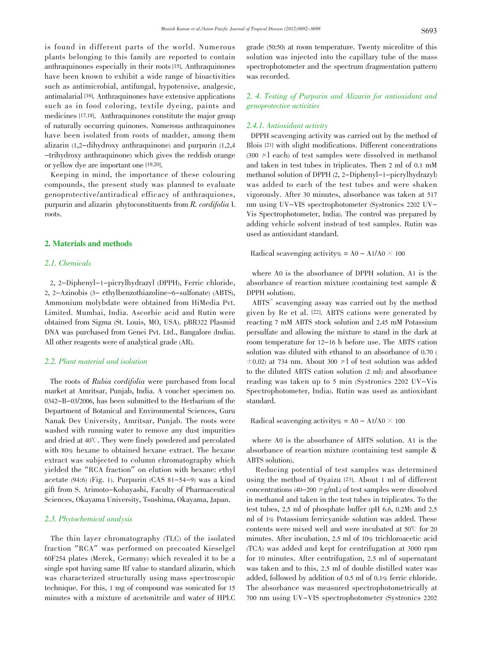is found in different parts of the world. Numerous plants belonging to this family are reported to contain anthraquinones especially in their roots[15]. Anthraquinones have been known to exhibit a wide range of bioactivities such as antimicrobial, antifungal, hypotensive, analgesic, antimalarial [16]. Anthraquinones have extensive applications such as in food coloring, textile dyeing, paints and medicines [17,18]. Anthraquinones constitute the major group of naturally occurring quinones. Numerous anthraquinones have been isolated from roots of madder, among them alizarin (1,2-dihydroxy anthraquinone) and purpurin (1,2,4 -trihydroxy anthraquinone) which gives the reddish orange or yellow dye are important one [19,20].

Keeping in mind, the importance of these colouring compounds, the present study was planned to evaluate genoprotective/antiradical efficacy of anthraquiones, purpurin and alizarin phytoconstituents from R. cordifolia L roots.

#### 2. Materials and methods

# 2.1. Chemicals

2, 2-Diphenyl-1-picrylhydrazyl (DPPH), Ferric chloride, 2, 2-Azinobis (3- ethylbenzothiazoline-6-sulfonate) (ABTS), Ammonium molybdate were obtained from HiMedia Pvt. Limited. Mumbai, India. Ascorbic acid and Rutin were obtained from Sigma (St. Louis, MO, USA). pBR322 Plasmid DNA was purchased from Genei Pvt. Ltd., Bangalore (India). All other reagents were of analytical grade (AR).

# 2.2. Plant material and isolation

The roots of Rubia cordifolia were purchased from local market at Amritsar, Punjab, India. A voucher specimen no. 0342-B-03/2006, has been submitted to the Herbarium of the Department of Botanical and Environmental Sciences, Guru Nanak Dev University, Amritsar, Punjab. The roots were washed with running water to remove any dust impurities and dried at 40°C. They were finely powdered and percolated with 80% hexane to obtained hexane extract. The hexane extract was subjected to column chromatography which yielded the "RCA fraction" on elution with hexane: ethyl acetate  $(94:6)$  (Fig. 1). Purpurin (CAS 81-54-9) was a kind gift from S. Arimoto-Kobayashi, Faculty of Pharmaceutical Sciences, Okayama University, Tsushima, Okayama, Japan.

# 2.3. Phytochemical analysis

The thin layer chromatography (TLC) of the isolated fraction "RCA" was performed on precoated Kieselgel 60F254 plates (Merck, Germany) which revealed it to be a single spot having same Rf value to standard alizarin, which was characterized structurally using mass spectroscopic technique. For this, 1 mg of compound was sonicated for 15 minutes with a mixture of acetonitrile and water of HPLC grade (50:50) at room temperature. Twenty microlitre of this solution was injected into the capillary tube of the mass spectrophotometer and the spectrum (fragmentation pattern) was recorded.

# 2. 4. Testing of Purpurin and Alizarin for antioxidant and genoprotective activities

#### 2.4.1. Antioxidant activity

DPPH scavenging activity was carried out by the method of Blois [21] with slight modifications. Different concentrations (300  $\mu$ l each) of test samples were dissolved in methanol and taken in test tubes in triplicates. Then 2 ml of 0.1 mM methanol solution of DPPH (2, 2-Diphenyl-1-picrylhydrazyl) was added to each of the test tubes and were shaken vigorously. After 30 minutes, absorbance was taken at 517 nm using UV-VIS spectrophotometer (Systronics 2202 UV-Vis Spectrophotometer, India). The control was prepared by adding vehicle solvent instead of test samples. Rutin was used as antioxidant standard.

Radical scavenging activity  $\% = A0 - A1/A0 \times 100$ 

where A0 is the absorbance of DPPH solution. A1 is the absorbance of reaction mixture (containing test sample & DPPH solution).

ABTS<sup>+</sup> scavenging assay was carried out by the method given by Re et al. [22]. ABTS cations were generated by reacting 7 mM ABTS stock solution and 2.45 mM Potassium persulfate and allowing the mixture to stand in the dark at room temperature for 12-16 h before use. The ABTS cation solution was diluted with ethanol to an absorbance of 0.70 (  $\pm$ 0.02) at 734 nm. About 300  $\mu$  of test solution was added to the diluted ABTS cation solution (2 ml) and absorbance reading was taken up to 5 min (Systronics 2202 UV-Vis Spectrophotometer, India). Rutin was used as antioxidant standard.

Radical scavenging activity  $\% = A0 - A1/A0 \times 100$ 

where A0 is the absorbance of ABTS solution. A1 is the absorbance of reaction mixture (containing test sample & ABTS solution).

Reducing potential of test samples was determined using the method of Oyaizu [23]. About 1 ml of different concentrations (40-200  $\mu$  g/mL) of test samples were dissolved in methanol and taken in the test tubes in triplicates. To the test tubes, 2.5 ml of phosphate buffer (pH 6.6, 0.2M) and 2.5 ml of 1% Potassium ferricyanide solution was added. These contents were mixed well and were incubated at  $50^{\circ}$  for 20 minutes. After incubation, 2.5 ml of 10% trichloroacetic acid (TCA) was added and kept for centrifugation at 3000 rpm for 10 minutes. After centrifugation, 2.5 ml of supernatant was taken and to this, 2.5 ml of double distilled water was added, followed by addition of 0.5 ml of 0.1% ferric chloride. The absorbance was measured spectrophotometrically at 700 nm using UV-VIS spectrophotometer (Systronics 2202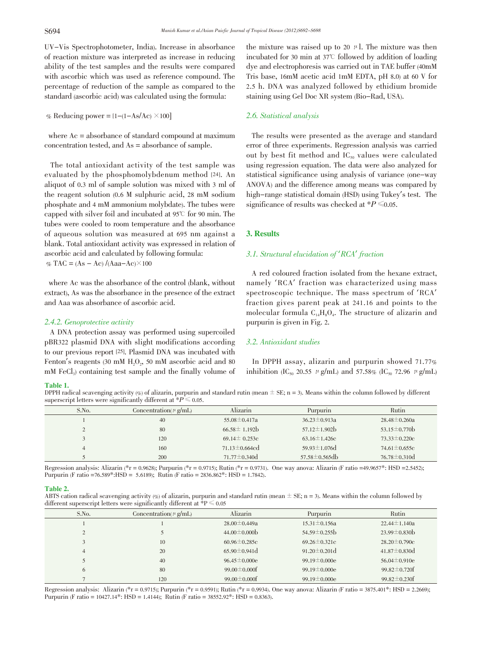UV-Vis Spectrophotometer, India). Increase in absorbance of reaction mixture was interpreted as increase in reducing ability of the test samples and the results were compared with ascorbic which was used as reference compound. The percentage of reduction of the sample as compared to the standard (ascorbic acid) was calculated using the formula:

% Reducing power =  $[1-(1-As/Ac) \times 100]$ 

where Ac = absorbance of standard compound at maximum concentration tested, and As = absorbance of sample.

The total antioxidant activity of the test sample was evaluated by the phosphomolybdenum method [24]. An aliquot of 0.3 ml of sample solution was mixed with 3 ml of the reagent solution (0.6 M sulphuric acid, 28 mM sodium phosphate and 4 mM ammonium molybdate). The tubes were capped with silver foil and incubated at  $95^{\circ}$  for 90 min. The tubes were cooled to room temperature and the absorbance of aqueous solution was measured at 695 nm against a blank. Total antioxidant activity was expressed in relation of ascorbic acid and calculated by following formula: % TAC =  $(As - Ac) / (Aaa - Ac) \times 100$ 

where Ac was the absorbance of the control (blank, without extract), As was the absorbance in the presence of the extract and Aaa was absorbance of ascorbic acid.

#### 2.4.2. Genoprotective activity

A DNA protection assay was performed using supercoiled pBR322 plasmid DNA with slight modifications according to our previous report [25]. Plasmid DNA was incubated with Fenton's reagents (30 mM  $H<sub>2</sub>O<sub>2</sub>$ , 50 mM ascorbic acid and 80  $mM$  FeCl<sub>3</sub>) containing test sample and the finally volume of the mixture was raised up to 20  $\mu$ . The mixture was then incubated for 30 min at  $37^{\circ}$  followed by addition of loading dye and electrophoresis was carried out in TAE buffer (40mM Tris base, 16mM acetic acid 1mM EDTA, pH 8.0) at 60 V for 2.5 h. DNA was analyzed followed by ethidium bromide staining using Gel Doc XR system (Bio-Rad, USA).

# 2.6. Statistical analysis

The results were presented as the average and standard error of three experiments. Regression analysis was carried out by best fit method and  $IC_{50}$  values were calculated using regression equation. The data were also analyzed for statistical significance using analysis of variance (one-way ANOVA) and the difference among means was compared by high-range statistical domain (HSD) using Tukey's test. The significance of results was checked at  $*P \leq 0.05$ .

#### 3. Results

# 3.1. Structural elucidation of 'RCA' fraction

A red coloured fraction isolated from the hexane extract, namely 'RCA' fraction was characterized using mass spectroscopic technique. The mass spectrum of 'RCA' fraction gives parent peak at 241.16 and points to the molecular formula  $C_{14}H_8O_4$ . The structure of alizarin and purpurin is given in Fig. 2.

# 3.2. Antioxidant studies

In DPPH assay, alizarin and purpurin showed 71.77% inhibition (IC<sub>50</sub> 20.55  $\mu$  g/mL) and 57.58% (IC<sub>50</sub> 72.96  $\mu$  g/mL)

#### Table 1.

DPPH radical scavenging activity  $\infty$  of alizarin, purpurin and standard rutin (mean  $\pm$  SE; n = 3). Means within the column followed by different superscript letters were significantly different at  $*P \leq 0.05$ .

| S.No. | Concentration( $\mu$ g/mL) | Alizarin             | Purpurin             | Rutin              |
|-------|----------------------------|----------------------|----------------------|--------------------|
|       | 40                         | $55.08 \pm 0.417a$   | $36.23 \pm 0.913a$   | $28.48 \pm 0.260a$ |
|       | 80                         | $66.58 \pm 1.192$    | $57.12 \pm 1.902$ h  | 53.15 $\pm$ 0.770b |
|       | 120                        | $69.14 \pm 0.253c$   | 63.16 $\pm$ 1.426c   | $73.33 \pm 0.220c$ |
|       | 160                        | $71.13 \pm 0.664$ cd | 59.93 $\pm$ 1.076d   | $74.61 \pm 0.655c$ |
|       | 200                        | $71.77 \pm 0.340$ d  | $57.58 \pm 0.565$ db | $76.78 \pm 0.310d$ |

Regression analysis: Alizarin (\*r = 0.9628); Purpurin (\*r = 0.9715); Rutin (\*r = 0.9731). One way anova: Alizarin (F ratio =49.9657\*: HSD =2.5452); Purpurin (F ratio =76.589\*:HSD = 5.6189); Rutin (F ratio = 2836.862\*: HSD = 1.7842).

#### Table 2.

ABTS cation radical scavenging activity  $\ll 6$  of alizarin, purpurin and standard rutin (mean  $\pm$  SE; n = 3). Means within the column followed by different superscript letters were significantly different at  $P \le 0.05$ 

| S.No. | Concentration $(\mu g/mL)$ | Alizarin            | Purpurin            | Rutin               |  |
|-------|----------------------------|---------------------|---------------------|---------------------|--|
|       |                            | $28.00 \pm 0.449a$  | $15.31 \pm 0.156a$  | $22.44 \pm 1.140a$  |  |
|       |                            | $44.00 \pm 0.000$   | $54.59 \pm 0.255 b$ | $23.99 \pm 0.830 b$ |  |
|       | 10                         | $60.96 \pm 0.285c$  | $69.26 \pm 0.321c$  | $28.20 \pm 0.790c$  |  |
| 4     | 20                         | $65.90 \pm 0.941$ d | $91.20 \pm 0.201$ d | $41.87 \pm 0.830d$  |  |
|       | 40                         | $96.45 \pm 0.000e$  | $99.19 \pm 0.000e$  | $56.04 \pm 0.910e$  |  |
| 6     | 80                         | 99.00 $\pm$ 0.000f  | 99.19 $\pm$ 0.000e  | 99.82 $\pm$ 0.720f  |  |
|       | 120                        | $99.00 \pm 0.000$   | 99.19 $\pm$ 0.000e  | 99.82 $\pm$ 0.230f  |  |

Regression analysis: Alizarin (\*r = 0.9715); Purpurin (\*r = 0.9591); Rutin (\*r = 0.9934). One way anova: Alizarin (F ratio = 3875.401\*: HSD = 2.2669); Purpurin (F ratio = 10427.14\*: HSD = 1.4144); Rutin (F ratio = 38552.92\*: HSD = 0.8363).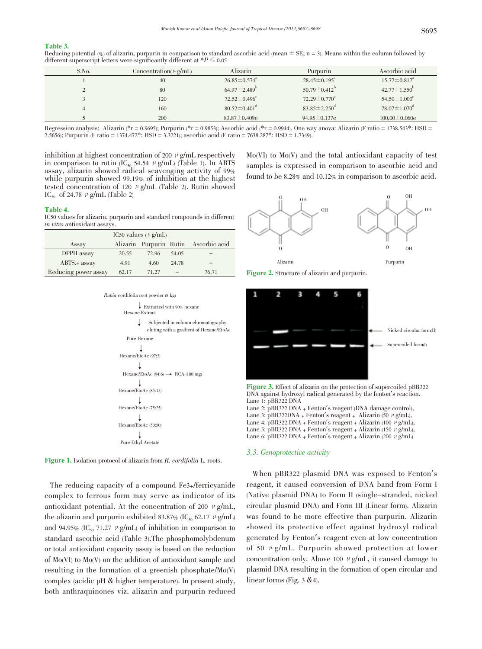#### Table 3.

Reducing potential (%) of alizarin, purpurin in comparison to standard ascorbic acid (mean  $\pm$  SE; n = 3). Means within the column followed by different superscript letters were significantly different at  $*P \leq 0.05$ 

| S.No. | Concentration( $\mu$ g/mL) | Alizarin                       | Purpurin                       | Ascorbic acid                  |
|-------|----------------------------|--------------------------------|--------------------------------|--------------------------------|
|       | 40                         | $26.85 \pm 0.574$ <sup>a</sup> | $28.45 \pm 0.195^{\circ}$      | $15.77 \pm 0.817$ <sup>a</sup> |
|       | 80                         | $64.97 \pm 2.489$ <sup>b</sup> | $50.79 \pm 0.412^{\circ}$      | $42.77 \pm 1.550^{\circ}$      |
|       | 120                        | $72.52 \pm 0.496$ <sup>c</sup> | $72.29 \pm 0.770$ <sup>c</sup> | $54.50 \pm 1.000$ <sup>c</sup> |
|       | 160                        | $80.52 \pm 0.401$ <sup>d</sup> | $83.85 \pm 2.250$ <sup>d</sup> | $78.07 \pm 1.070$ <sup>d</sup> |
|       | 200                        | $83.87 \pm 0.409e$             | 94.95 $\pm$ 0.137e             | $100.00 \pm 0.060e$            |

Regression analysis: Alizarin (\*r = 0.9695); Purpurin (\*r = 0.9853); Ascorbic acid (\*r = 0.9944). One way anova: Alizarin (F ratio = 1738.543\*: HSD = 2.5656); Purpurin (F ratio = 1374.472\*: HSD = 3.3221); ascorbic acid (F

inhibition at highest concentration of 200  $\mu$  g/mL respectively in comparison to rutin ( $IC_{50}$  54.54  $\mu$  g/mL) (Table 1). In ABTS assay, alizarin showed radical scavenging activity of 99% while purpurin showed 99.19% of inhibition at the highest tested concentration of 120  $\mu$  g/mL (Table 2). Rutin showed IC<sub>50</sub> of 24.78  $\mu$  g/mL (Table 2)

#### Table 4.

IC50 values for alizarin, purpurin and standard compounds in different in vitro antioxidant assays.

| IC50 values ( $\mu$ g/mL) |       |       |       |                                       |
|---------------------------|-------|-------|-------|---------------------------------------|
| Assay                     |       |       |       | Alizarin Purpurin Rutin Ascorbic acid |
| DPPH assay                | 20.55 | 72.96 | 54.05 |                                       |
| $ABTS.+$ assay            | 4.91  | 4.60  | 24.78 |                                       |
| Reducing power assay      | 62.17 | 71.27 |       | 76.71                                 |





Figure 1. Isolation protocol of alizarin from R. cordifolia L. roots.

The reducing capacity of a compound Fe3+/ferricyanide complex to ferrous form may serve as indicator of its antioxidant potential. At the concentration of 200  $\mu$  g/mL, the alizarin and purpurin exhibited 83.87% (IC<sub>50</sub> 62.17  $\mu$  g/mL) and 94.95% (IC<sub>50</sub> 71.27  $\mu$  g/mL) of inhibition in comparison to standard ascorbic acid (Table 3).The phosphomolybdenum or total antioxidant capacity assay is based on the reduction of Mo(VI) to Mo(V) on the addition of antioxidant sample and resulting in the formation of a greenish phosphate/Mo(V) complex (acidic pH & higher temperature). In present study, both anthraquinones viz. alizarin and purpurin reduced

Mo(VI) to Mo(V) and the total antioxidant capacity of test samples is expressed in comparison to ascorbic acid and found to be 8.28% and 10.12% in comparison to ascorbic acid.



Figure 2. Structure of alizarin and purpurin.



Figure 3. Effect of alizarin on the protection of supercoiled pBR322 DNA against hydroxyl radical generated by the fenton's reaction. Lane 1: pBR322 DNA Lane 2: pBR322 DNA + Fenton's reagent (DNA damage control), Lane 3: pBR322DNA + Fenton's reagent + Alizarin (50  $\mu$  g/mL), Lane 4: pBR322 DNA + Fenton's reagent + Alizarin (100  $\mu$  g/mL), Lane 5: pBR322 DNA + Fenton's reagent + Alizarin (150  $\mu$  g/mL),

Lane 6: pBR322 DNA + Fenton's reagent + Alizarin (200  $\mu$  g/mL)

#### 3.3. Genoprotective activity

When pBR322 plasmid DNA was exposed to Fenton's reagent, it caused conversion of DNA band from Form I (Native plasmid DNA) to Form II (single-stranded, nicked circular plasmid DNA) and Form III (Linear form). Alizarin was found to be more effective than purpurin. Alizarin showed its protective effect against hydroxyl radical generated by Fenton's reagent even at low concentration of 50  $\mu$  g/mL. Purpurin showed protection at lower concentration only. Above 100  $\mu$  g/mL, it caused damage to plasmid DNA resulting in the formation of open circular and linear forms (Fig. 3 & 4).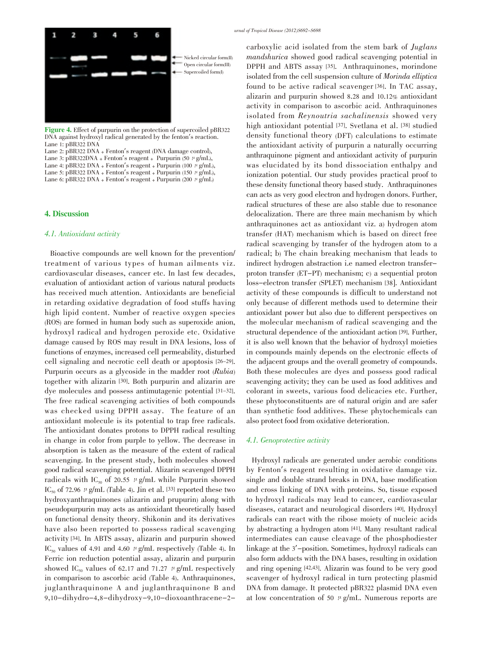Figure 4. Effect of purpurin on the protection of supercoiled pBR322 DNA against hydroxyl radical generated by the fenton's reaction. Lane 1: pBR322 DNA

Lane 2: pBR322 DNA + Fenton's reagent (DNA damage control), Lane 3: pBR322DNA + Fenton's reagent + Purpurin (50  $\mu$  g/mL), Lane 4: pBR322 DNA + Fenton's reagent + Purpurin (100  $\mu$  g/mL), Lane 5: pBR322 DNA + Fenton's reagent + Purpurin (150  $\mu$  g/mL), Lane 6: pBR322 DNA + Fenton's reagent + Purpurin (200  $\mu$  g/mL)

### 4. Discussion

## 4.1. Antioxidant activity

Bioactive compounds are well known for the prevention/ treatment of various types of human ailments viz. cardiovascular diseases, cancer etc. In last few decades, evaluation of antioxidant action of various natural products has received much attention. Antioxidants are beneficial in retarding oxidative degradation of food stuffs having high lipid content. Number of reactive oxygen species (ROS) are formed in human body such as superoxide anion, hydroxyl radical and hydrogen peroxide etc. Oxidative damage caused by ROS may result in DNA lesions, loss of functions of enzymes, increased cell permeability, disturbed cell signaling and necrotic cell death or apoptosis [26-29]. Purpurin occurs as a glycoside in the madder root (Rubia) together with alizarin [30]. Both purpurin and alizarin are dye molecules and possess antimutagenic potential [31-32]. The free radical scavenging activities of both compounds was checked using DPPH assay. The feature of an antioxidant molecule is its potential to trap free radicals. The antioxidant donates protons to DPPH radical resulting in change in color from purple to yellow. The decrease in absorption is taken as the measure of the extent of radical scavenging. In the present study, both molecules showed good radical scavenging potential. Alizarin scavenged DPPH radicals with IC<sub>50</sub> of 20.55  $\mu$  g/mL while Purpurin showed IC<sub>50</sub> of 72.96  $\mu$  g/mL (Table 4). Jin et al. [33] reported these two hydroxyanthraquinones (alizarin and prupurin) along with pseudopurpurin may acts as antioxidant theoretically based on functional density theory. Shikonin and its derivatives have also been reported to possess radical scavenging activity [34]. In ABTS assay, alizarin and purpurin showed IC<sub>50</sub> values of 4.91 and 4.60  $\mu$  g/mL respectively (Table 4). In Ferric ion reduction potential assay, alizarin and purpurin showed IC<sub>50</sub> values of 62.17 and 71.27  $\mu$  g/mL respectively in comparison to ascorbic acid (Table 4). Anthraquinones, juglanthraquinone A and juglanthraquinone B and 9,10-dihydro-4,8-dihydroxy-9,10-dioxoanthracene-2carboxylic acid isolated from the stem bark of Juglans mandshurica showed good radical scavenging potential in DPPH and ABTS assay [35]. Anthraquinones, morindone isolated from the cell suspension culture of Morinda elliptica found to be active radical scavenger [36]. In TAC assay, alizarin and purpurin showed 8.28 and 10.12% antioxidant activity in comparison to ascorbic acid. Anthraquinones isolated from Reynoutria sachalinensis showed very high antioxidant potential [37]. Svetlana et al. [38] studied density functional theory (DFT) calculations to estimate the antioxidant activity of purpurin a naturally occurring anthraquinone pigment and antioxidant activity of purpurin was elucidated by its bond dissociation enthalpy and ionization potential. Our study provides practical proof to these density functional theory based study. Anthraquinones can acts as very good electron and hydrogen donors. Further, radical structures of these are also stable due to resonance delocalization. There are three main mechanism by which anthraquinones act as antioxidant viz. a) hydrogen atom transfer (HAT) mechanism which is based on direct free radical scavenging by transfer of the hydrogen atom to a radical; b) The chain breaking mechanism that leads to indirect hydrogen abstraction i.e named electron transferproton transfer (ET-PT) mechanism; c) a sequential proton loss-electron transfer (SPLET) mechanism [38]. Antioxidant activity of these compounds is difficult to understand not only because of different methods used to determine their antioxidant power but also due to different perspectives on the molecular mechanism of radical scavenging and the structural dependence of the antioxidant action [39]. Further, it is also well known that the behavior of hydroxyl moieties in compounds mainly depends on the electronic effects of the adjacent groups and the overall geometry of compounds. Both these molecules are dyes and possess good radical scavenging activity; they can be used as food additives and colorant in sweets, various food delicacies etc. Further, these phytoconstituents are of natural origin and are safer than synthetic food additives. These phytochemicals can also protect food from oxidative deterioration.

# 4.1. Genoprotective activity

Hydroxyl radicals are generated under aerobic conditions by Fenton's reagent resulting in oxidative damage viz. single and double strand breaks in DNA, base modification and cross linking of DNA with proteins. So, tissue exposed to hydroxyl radicals may lead to cancer, cardiovascular diseases, cataract and neurological disorders [40]. Hydroxyl radicals can react with the ribose moiety of nucleic acids by abstracting a hydrogen atom [41]. Many resultant radical intermediates can cause cleavage of the phosphodiester linkage at the <sup>3</sup>'-position. Sometimes, hydroxyl radicals can also form adducts with the DNA bases, resulting in oxidation and ring opening [42,43]. Alizarin was found to be very good scavenger of hydroxyl radical in turn protecting plasmid DNA from damage. It protected pBR322 plasmid DNA even at low concentration of 50  $\mu$  g/mL. Numerous reports are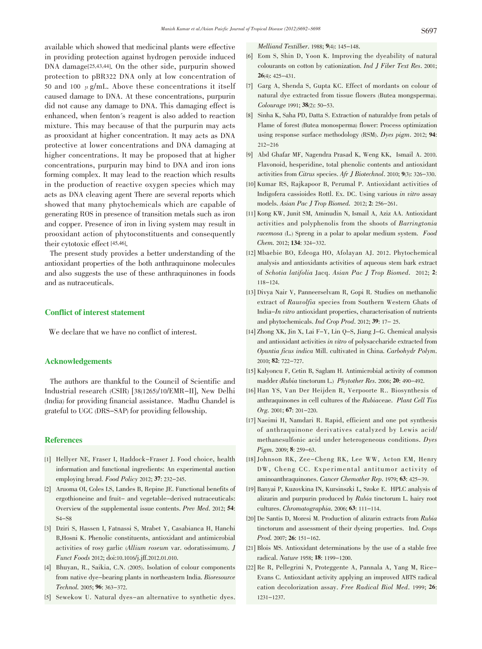available which showed that medicinal plants were effective in providing protection against hydrogen peroxide induced DNA damage<sup>[25,43,44]</sup>. On the other side, purpurin showed protection to pBR322 DNA only at low concentration of 50 and 100  $\mu$  g/mL. Above these concentrations it itself caused damage to DNA. At these concentrations, purpurin did not cause any damage to DNA. This damaging effect is enhanced, when fenton's reagent is also added to reaction mixture. This may because of that the purpurin may acts as prooxidant at higher concentration. It may acts as DNA protective at lower concentrations and DNA damaging at higher concentrations. It may be proposed that at higher concentrations, purpurin may bind to DNA and iron ions forming complex. It may lead to the reaction which results in the production of reactive oxygen species which may acts as DNA cleaving agent There are several reports which showed that many phytochemicals which are capable of generating ROS in presence of transition metals such as iron and copper. Presence of iron in living system may result in prooxidant action of phytoconstituents and consequently their cytotoxic effect [45,46].

The present study provides a better understanding of the antioxidant properties of the both anthraquinone molecules and also suggests the use of these anthraquinones in foods and as nutraceuticals.

# Conflict of interest statement

We declare that we have no conflict of interest.

# Acknowledgements

The authors are thankful to the Council of Scientific and Industrial research (CSIR) [38(1265)/10/EMR-II], New Delhi (India) for providing financial assistance. Madhu Chandel is grateful to UGC (DRS-SAP) for providing fellowship.

# **References**

- [1] Hellyer NE, Fraser I, Haddock-Fraser J. Food choice, health information and functional ingredients: An experimental auction employing bread. Food Policy 2012; 37: 232-245.
- [2] Aruoma OI, Coles LS, Landes B, Repine JE. Functional benefits of ergothioneine and fruit- and vegetable-derived nutraceuticals: Overview of the supplemental issue contents. Prev Med. 2012; 54: S4-S8
- [3] Dziri S, Hassen I, Fatnassi S, Mrabet Y, Casabianca H, Hanchi B,Hosni K. Phenolic constituents, antioxidant and antimicrobial activities of rosy garlic (Allium roseum var. odoratissimum). J Funct Foods 2012; doi:10.1016/j.jff.2012.01.010.
- [4] Bhuyan, R., Saikia, C.N. (2005). Isolation of colour components from native dye-bearing plants in northeastern India. Bioresource Technol. 2005; 96: 363-372.
- [5] Sewekow U. Natural dyes-an alternative to synthetic dyes.

Melliand Textilber. 1988; 9(4): 145-148.

- [6] Eom S, Shin D, Yoon K. Improving the dyeability of natural colourants on cotton by cationization. Ind J Fiber Text Res. 2001; 26(4): 425-431.
- [7] Garg A, Shenda S, Gupta KC. Effect of mordants on colour of natural dye extracted from tissue flowers (Butea mongsperma). Colourage 1991; 38(2): 50-53.
- [8] Sinha K, Saha PD, Datta S. Extraction of naturaldye from petals of Flame of forest (Butea monosperma) flower: Process optimization using response surface methodology (RSM). Dyes pigm. 2012; 94: 212-216
- [9] Abd Ghafar MF, Nagendra Prasad K, Weng KK, Ismail A. 2010. Flavonoid, hesperidine, total phenolic contents and antioxidant activities from Citrus species. Afr J Biotechnol. 2010; 9(3): 326-330.
- [10] Kumar RS, Rajkapoor B, Perumal P. Antioxidant activities of Indigofera cassioides Rottl. Ex. DC. Using various in vitro assay models. Asian Pac J Trop Biomed. 2012; 2: 256-261.
- [11] Kong KW, Junit SM, Aminudin N, Ismail A, Aziz AA. Antioxidant activities and polyphenolis from the shoots of Barringtonia racemosa (L.) Spreng in a polar to apolar medium system. Food Chem. 2012; 134: 324-332.
- [12] Mbaebie BO, Edeoga HO, Afolayan AJ. 2012. Phytochemical analysis and antioxidants activities of aqueous stem bark extract of Schotia latifolia Jacq. Asian Pac J Trop Biomed. 2012; 2: 118-124.
- [13] Divya Nair V, Panneerselvam R, Gopi R. Studies on methanolic extract of Rauvolfia species from Southern Western Ghats of India-In vitro antioxidant properties, characterisation of nutrients and phytochemicals. Ind Crop Prod. 2012; 39: 17- 25.
- [14] Zhong XK, Jin X, Lai F-Y, Lin Q-S, Jiang J-G. Chemical analysis and antioxidant activities in vitro of polysaccharide extracted from Opuntia ficus indica Mill. cultivated in China. Carbohydr Polym. 2010; 82: 722-727.
- [15] Kalyoncu F, Cetin B, Saglam H. Antimicrobial activity of common madder (Rubia tinctorum L.) Phytother Res. 2006; 20: 490-492.
- [16] Han YS, Van Der Heijden R, Verpoorte R.. Biosynthesis of anthraquinones in cell cultures of the Rubiaceae. Plant Cell Tiss Org. 2001; 67: 201-220.
- [17] Naeimi H, Namdari R. Rapid, efficient and one pot synthesis of anthraquinone derivatives catalyzed by Lewis acid/ methanesulfonic acid under heterogeneous conditions. Dyes Pigm. 2009; 8: 259-63.
- [18] Johnson RK, Zee-Cheng RK, Lee WW, Acton EM, Henry DW, Cheng CC. Experimental antitumor activity of aminoanthraquinones. Cancer Chemother Rep. 1979; 63: 425-39.
- [19] Banyai P, Kuzovkina IN, Kursinszki L, Szoke E. HPLC analysis of alizarin and purpurin produced by Rubia tinctorum L. hairy root cultures. Chromatographia. 2006; 63: 111-114.
- [20] De Santis D, Moresi M. Production of alizarin extracts from Rubia tinctorum and assessment of their dyeing properties. Ind. Crops Prod. 2007; 26: 151-162.
- [21] Blois MS. Antioxidant determinations by the use of a stable free radical. Nature 1958; 18: 1199-1200.
- [22] Re R, Pellegrini N, Proteggente A, Pannala A, Yang M, Rice-Evans C. Antioxidant activity applying an improved ABTS radical cation decolorization assay. Free Radical Biol Med. 1999; 26: 1231-1237.